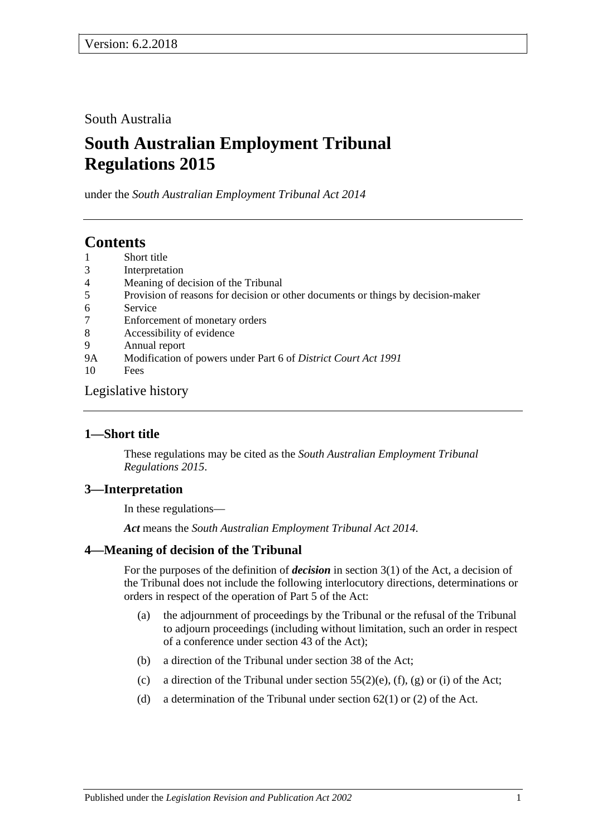South Australia

# **South Australian Employment Tribunal Regulations 2015**

under the *South Australian Employment Tribunal Act 2014*

# **Contents**

- 1 [Short title](#page-0-0)
- 3 [Interpretation](#page-0-1)
- 4 [Meaning of decision of the Tribunal](#page-0-2)
- 5 [Provision of reasons for decision or other documents or things by decision-maker](#page-1-0)
- 6 [Service](#page-1-1)
- 7 [Enforcement of monetary orders](#page-1-2)
- 8 [Accessibility of evidence](#page-1-3)
- 9 [Annual report](#page-2-0) 9A [Modification of powers under Part 6 of](#page-3-0) *District Court Act 1991*
- 10 [Fees](#page-3-1)

[Legislative history](#page-5-0)

## <span id="page-0-0"></span>**1—Short title**

These regulations may be cited as the *South Australian Employment Tribunal Regulations 2015*.

## <span id="page-0-1"></span>**3—Interpretation**

In these regulations—

*Act* means the *[South Australian Employment Tribunal Act](http://www.legislation.sa.gov.au/index.aspx?action=legref&type=act&legtitle=South%20Australian%20Employment%20Tribunal%20Act%202014) 2014*.

## <span id="page-0-2"></span>**4—Meaning of decision of the Tribunal**

For the purposes of the definition of *decision* in section 3(1) of the Act, a decision of the Tribunal does not include the following interlocutory directions, determinations or orders in respect of the operation of Part 5 of the Act:

- (a) the adjournment of proceedings by the Tribunal or the refusal of the Tribunal to adjourn proceedings (including without limitation, such an order in respect of a conference under section 43 of the Act);
- (b) a direction of the Tribunal under section 38 of the Act;
- (c) a direction of the Tribunal under section  $55(2)(e)$ , (f), (g) or (i) of the Act;
- (d) a determination of the Tribunal under section  $62(1)$  or (2) of the Act.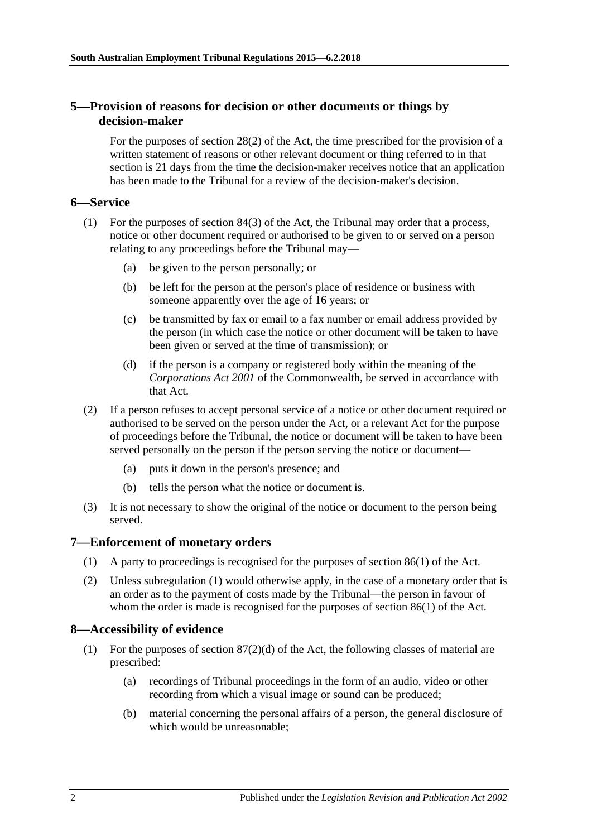### <span id="page-1-0"></span>**5—Provision of reasons for decision or other documents or things by decision-maker**

For the purposes of section 28(2) of the Act, the time prescribed for the provision of a written statement of reasons or other relevant document or thing referred to in that section is 21 days from the time the decision-maker receives notice that an application has been made to the Tribunal for a review of the decision-maker's decision.

### <span id="page-1-1"></span>**6—Service**

- (1) For the purposes of section 84(3) of the Act, the Tribunal may order that a process, notice or other document required or authorised to be given to or served on a person relating to any proceedings before the Tribunal may—
	- (a) be given to the person personally; or
	- (b) be left for the person at the person's place of residence or business with someone apparently over the age of 16 years; or
	- (c) be transmitted by fax or email to a fax number or email address provided by the person (in which case the notice or other document will be taken to have been given or served at the time of transmission); or
	- (d) if the person is a company or registered body within the meaning of the *Corporations Act 2001* of the Commonwealth, be served in accordance with that Act.
- (2) If a person refuses to accept personal service of a notice or other document required or authorised to be served on the person under the Act, or a relevant Act for the purpose of proceedings before the Tribunal, the notice or document will be taken to have been served personally on the person if the person serving the notice or document—
	- (a) puts it down in the person's presence; and
	- (b) tells the person what the notice or document is.
- (3) It is not necessary to show the original of the notice or document to the person being served.

#### <span id="page-1-4"></span><span id="page-1-2"></span>**7—Enforcement of monetary orders**

- (1) A party to proceedings is recognised for the purposes of section 86(1) of the Act.
- (2) Unless [subregulation](#page-1-4) (1) would otherwise apply, in the case of a monetary order that is an order as to the payment of costs made by the Tribunal—the person in favour of whom the order is made is recognised for the purposes of section 86(1) of the Act.

#### <span id="page-1-3"></span>**8—Accessibility of evidence**

- (1) For the purposes of section  $87(2)(d)$  of the Act, the following classes of material are prescribed:
	- (a) recordings of Tribunal proceedings in the form of an audio, video or other recording from which a visual image or sound can be produced;
	- (b) material concerning the personal affairs of a person, the general disclosure of which would be unreasonable;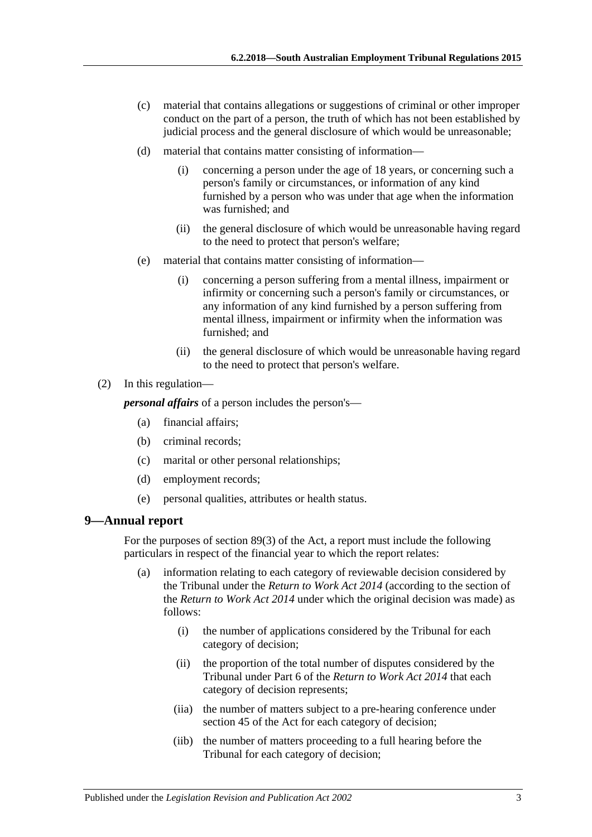- (c) material that contains allegations or suggestions of criminal or other improper conduct on the part of a person, the truth of which has not been established by judicial process and the general disclosure of which would be unreasonable;
- (d) material that contains matter consisting of information—
	- (i) concerning a person under the age of 18 years, or concerning such a person's family or circumstances, or information of any kind furnished by a person who was under that age when the information was furnished; and
	- (ii) the general disclosure of which would be unreasonable having regard to the need to protect that person's welfare;
- (e) material that contains matter consisting of information—
	- (i) concerning a person suffering from a mental illness, impairment or infirmity or concerning such a person's family or circumstances, or any information of any kind furnished by a person suffering from mental illness, impairment or infirmity when the information was furnished; and
	- (ii) the general disclosure of which would be unreasonable having regard to the need to protect that person's welfare.
- (2) In this regulation—

*personal affairs* of a person includes the person's—

- (a) financial affairs;
- (b) criminal records;
- (c) marital or other personal relationships;
- (d) employment records;
- (e) personal qualities, attributes or health status.

#### <span id="page-2-0"></span>**9—Annual report**

For the purposes of section 89(3) of the Act, a report must include the following particulars in respect of the financial year to which the report relates:

- (a) information relating to each category of reviewable decision considered by the Tribunal under the *[Return to Work Act](http://www.legislation.sa.gov.au/index.aspx?action=legref&type=act&legtitle=Return%20to%20Work%20Act%202014) 2014* (according to the section of the *[Return to Work Act](http://www.legislation.sa.gov.au/index.aspx?action=legref&type=act&legtitle=Return%20to%20Work%20Act%202014) 2014* under which the original decision was made) as follows:
	- (i) the number of applications considered by the Tribunal for each category of decision;
	- (ii) the proportion of the total number of disputes considered by the Tribunal under Part 6 of the *[Return to Work Act](http://www.legislation.sa.gov.au/index.aspx?action=legref&type=act&legtitle=Return%20to%20Work%20Act%202014) 2014* that each category of decision represents;
	- (iia) the number of matters subject to a pre-hearing conference under section 45 of the Act for each category of decision;
	- (iib) the number of matters proceeding to a full hearing before the Tribunal for each category of decision;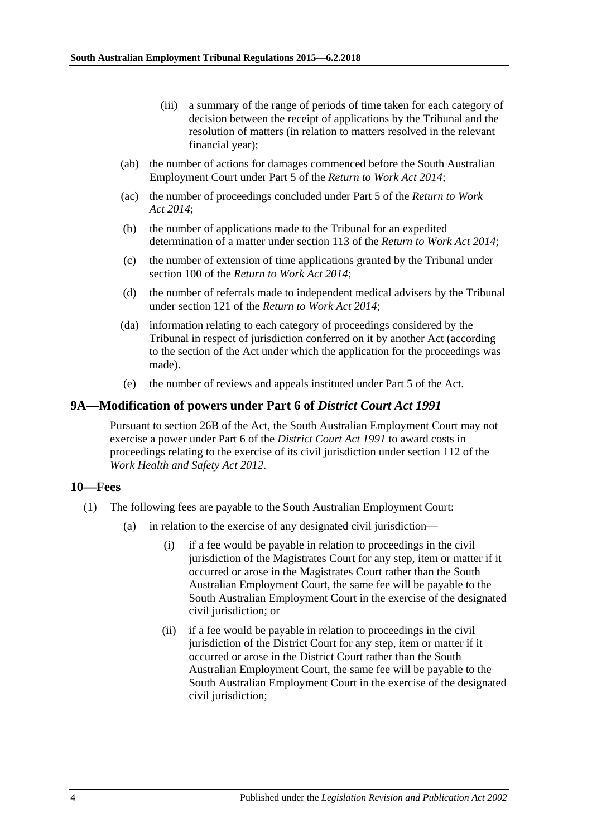- (iii) a summary of the range of periods of time taken for each category of decision between the receipt of applications by the Tribunal and the resolution of matters (in relation to matters resolved in the relevant financial year);
- (ab) the number of actions for damages commenced before the South Australian Employment Court under Part 5 of the *[Return to Work Act](http://www.legislation.sa.gov.au/index.aspx?action=legref&type=act&legtitle=Return%20to%20Work%20Act%202014) 2014*;
- (ac) the number of proceedings concluded under Part 5 of the *[Return to Work](http://www.legislation.sa.gov.au/index.aspx?action=legref&type=act&legtitle=Return%20to%20Work%20Act%202014)  Act [2014](http://www.legislation.sa.gov.au/index.aspx?action=legref&type=act&legtitle=Return%20to%20Work%20Act%202014)*;
- (b) the number of applications made to the Tribunal for an expedited determination of a matter under section 113 of the *[Return to Work Act](http://www.legislation.sa.gov.au/index.aspx?action=legref&type=act&legtitle=Return%20to%20Work%20Act%202014) 2014*;
- (c) the number of extension of time applications granted by the Tribunal under section 100 of the *[Return to Work Act](http://www.legislation.sa.gov.au/index.aspx?action=legref&type=act&legtitle=Return%20to%20Work%20Act%202014) 2014*;
- (d) the number of referrals made to independent medical advisers by the Tribunal under section 121 of the *[Return to Work Act](http://www.legislation.sa.gov.au/index.aspx?action=legref&type=act&legtitle=Return%20to%20Work%20Act%202014) 2014*;
- (da) information relating to each category of proceedings considered by the Tribunal in respect of jurisdiction conferred on it by another Act (according to the section of the Act under which the application for the proceedings was made).
- (e) the number of reviews and appeals instituted under Part 5 of the Act.

#### <span id="page-3-0"></span>**9A—Modification of powers under Part 6 of** *District Court Act 1991*

Pursuant to section 26B of the Act, the South Australian Employment Court may not exercise a power under Part 6 of the *[District Court Act](http://www.legislation.sa.gov.au/index.aspx?action=legref&type=act&legtitle=District%20Court%20Act%201991) 1991* to award costs in proceedings relating to the exercise of its civil jurisdiction under section 112 of the *[Work Health and Safety Act](http://www.legislation.sa.gov.au/index.aspx?action=legref&type=act&legtitle=Work%20Health%20and%20Safety%20Act%202012) 2012*.

#### <span id="page-3-1"></span>**10—Fees**

- <span id="page-3-2"></span>(1) The following fees are payable to the South Australian Employment Court:
	- (a) in relation to the exercise of any designated civil jurisdiction—
		- (i) if a fee would be payable in relation to proceedings in the civil jurisdiction of the Magistrates Court for any step, item or matter if it occurred or arose in the Magistrates Court rather than the South Australian Employment Court, the same fee will be payable to the South Australian Employment Court in the exercise of the designated civil jurisdiction; or
		- (ii) if a fee would be payable in relation to proceedings in the civil jurisdiction of the District Court for any step, item or matter if it occurred or arose in the District Court rather than the South Australian Employment Court, the same fee will be payable to the South Australian Employment Court in the exercise of the designated civil jurisdiction;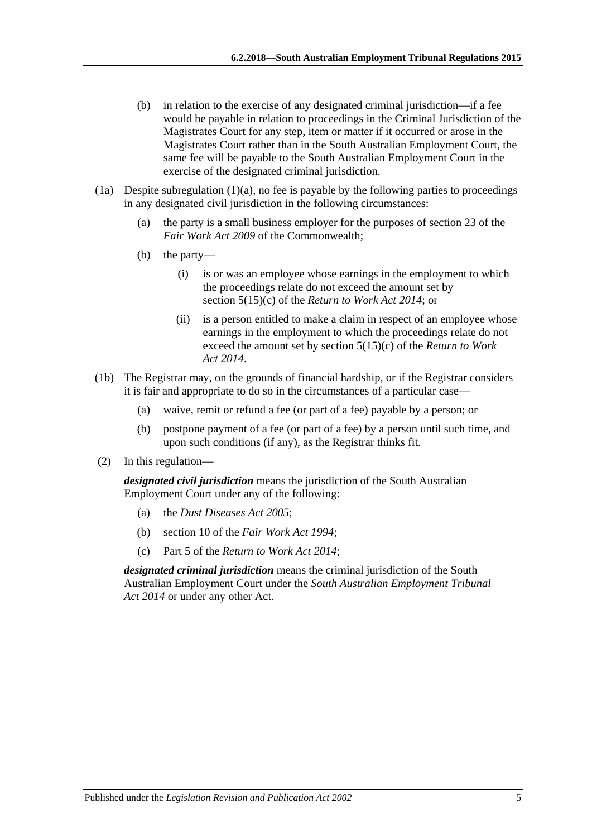- (b) in relation to the exercise of any designated criminal jurisdiction—if a fee would be payable in relation to proceedings in the Criminal Jurisdiction of the Magistrates Court for any step, item or matter if it occurred or arose in the Magistrates Court rather than in the South Australian Employment Court, the same fee will be payable to the South Australian Employment Court in the exercise of the designated criminal jurisdiction.
- (1a) Despite [subregulation](#page-3-2) (1)(a), no fee is payable by the following parties to proceedings in any designated civil jurisdiction in the following circumstances:
	- (a) the party is a small business employer for the purposes of section 23 of the *Fair Work Act 2009* of the Commonwealth;
	- (b) the party—
		- (i) is or was an employee whose earnings in the employment to which the proceedings relate do not exceed the amount set by section 5(15)(c) of the *[Return to Work Act](http://www.legislation.sa.gov.au/index.aspx?action=legref&type=act&legtitle=Return%20to%20Work%20Act%202014) 2014*; or
		- (ii) is a person entitled to make a claim in respect of an employee whose earnings in the employment to which the proceedings relate do not exceed the amount set by section 5(15)(c) of the *[Return to Work](http://www.legislation.sa.gov.au/index.aspx?action=legref&type=act&legtitle=Return%20to%20Work%20Act%202014)  Act [2014](http://www.legislation.sa.gov.au/index.aspx?action=legref&type=act&legtitle=Return%20to%20Work%20Act%202014)*.
- (1b) The Registrar may, on the grounds of financial hardship, or if the Registrar considers it is fair and appropriate to do so in the circumstances of a particular case—
	- (a) waive, remit or refund a fee (or part of a fee) payable by a person; or
	- (b) postpone payment of a fee (or part of a fee) by a person until such time, and upon such conditions (if any), as the Registrar thinks fit.
- (2) In this regulation—

*designated civil jurisdiction* means the jurisdiction of the South Australian Employment Court under any of the following:

- (a) the *[Dust Diseases Act 2005](http://www.legislation.sa.gov.au/index.aspx?action=legref&type=act&legtitle=Dust%20Diseases%20Act%202005)*;
- (b) section 10 of the *[Fair Work Act 1994](http://www.legislation.sa.gov.au/index.aspx?action=legref&type=act&legtitle=Fair%20Work%20Act%201994)*;
- (c) Part 5 of the *[Return to Work Act 2014](http://www.legislation.sa.gov.au/index.aspx?action=legref&type=act&legtitle=Return%20to%20Work%20Act%202014)*;

*designated criminal jurisdiction* means the criminal jurisdiction of the South Australian Employment Court under the *[South Australian Employment Tribunal](http://www.legislation.sa.gov.au/index.aspx?action=legref&type=act&legtitle=South%20Australian%20Employment%20Tribunal%20Act%202014)  Act [2014](http://www.legislation.sa.gov.au/index.aspx?action=legref&type=act&legtitle=South%20Australian%20Employment%20Tribunal%20Act%202014)* or under any other Act.